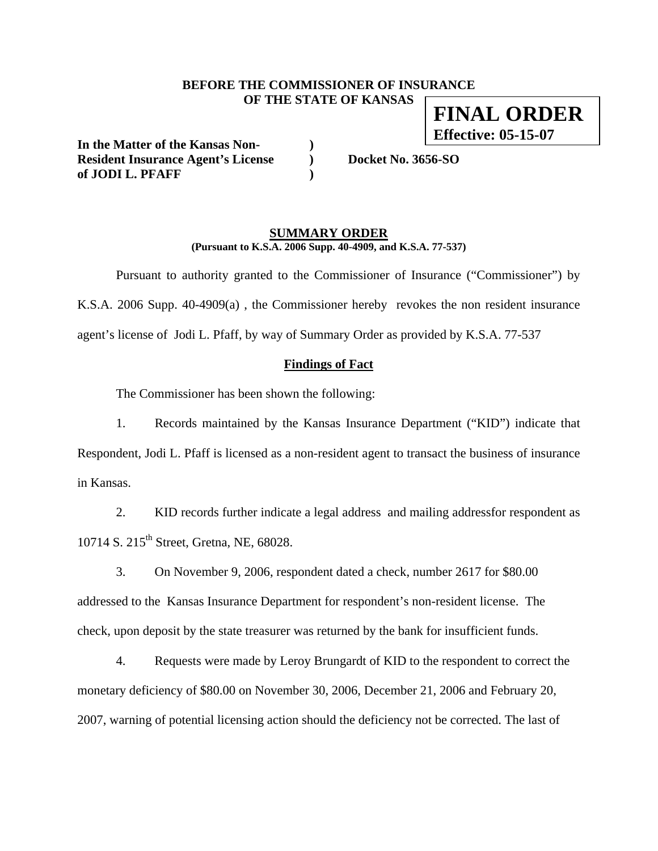### **BEFORE THE COMMISSIONER OF INSURANCE OF THE STATE OF KANSAS**

**In the Matter of the Kansas Non- )**  Resident Insurance Agent's License **)** Docket No. 3656-SO **of JODI L. PFAFF )** 

### **SUMMARY ORDER (Pursuant to K.S.A. 2006 Supp. 40-4909, and K.S.A. 77-537)**

 Pursuant to authority granted to the Commissioner of Insurance ("Commissioner") by K.S.A. 2006 Supp. 40-4909(a) , the Commissioner hereby revokes the non resident insurance agent's license of Jodi L. Pfaff, by way of Summary Order as provided by K.S.A. 77-537

## **Findings of Fact**

The Commissioner has been shown the following:

1. Records maintained by the Kansas Insurance Department ("KID") indicate that Respondent, Jodi L. Pfaff is licensed as a non-resident agent to transact the business of insurance in Kansas.

2. KID records further indicate a legal address and mailing addressfor respondent as 10714 S. 215<sup>th</sup> Street, Gretna, NE, 68028.

3. On November 9, 2006, respondent dated a check, number 2617 for \$80.00 addressed to the Kansas Insurance Department for respondent's non-resident license. The check, upon deposit by the state treasurer was returned by the bank for insufficient funds.

4. Requests were made by Leroy Brungardt of KID to the respondent to correct the monetary deficiency of \$80.00 on November 30, 2006, December 21, 2006 and February 20, 2007, warning of potential licensing action should the deficiency not be corrected. The last of

**FINAL ORDER Effective: 05-15-07**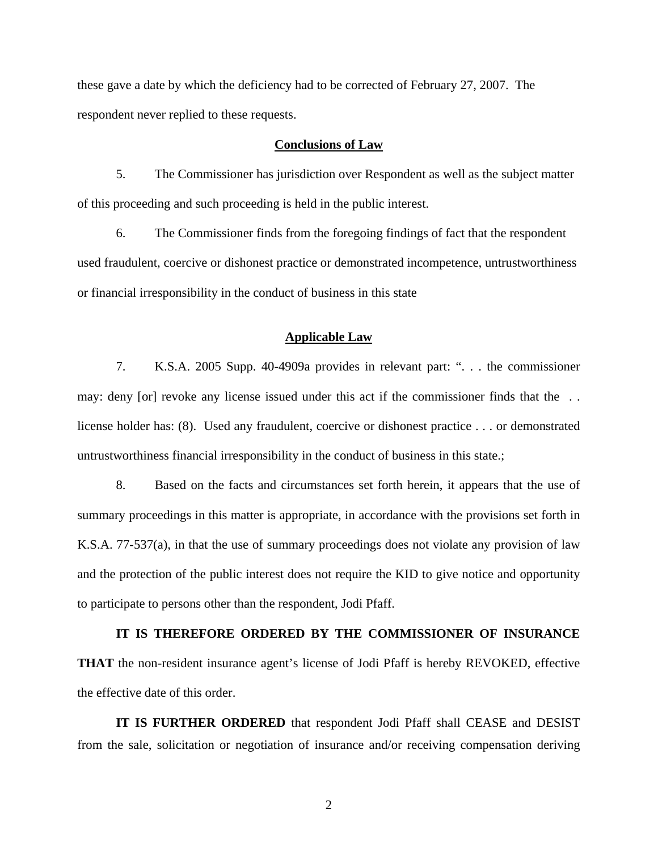these gave a date by which the deficiency had to be corrected of February 27, 2007. The respondent never replied to these requests.

#### **Conclusions of Law**

5. The Commissioner has jurisdiction over Respondent as well as the subject matter of this proceeding and such proceeding is held in the public interest.

6. The Commissioner finds from the foregoing findings of fact that the respondent used fraudulent, coercive or dishonest practice or demonstrated incompetence, untrustworthiness or financial irresponsibility in the conduct of business in this state

#### **Applicable Law**

7. K.S.A. 2005 Supp. 40-4909a provides in relevant part: ". . . the commissioner may: deny [or] revoke any license issued under this act if the commissioner finds that the . . license holder has: (8). Used any fraudulent, coercive or dishonest practice . . . or demonstrated untrustworthiness financial irresponsibility in the conduct of business in this state.;

8. Based on the facts and circumstances set forth herein, it appears that the use of summary proceedings in this matter is appropriate, in accordance with the provisions set forth in K.S.A. 77-537(a), in that the use of summary proceedings does not violate any provision of law and the protection of the public interest does not require the KID to give notice and opportunity to participate to persons other than the respondent, Jodi Pfaff.

**IT IS THEREFORE ORDERED BY THE COMMISSIONER OF INSURANCE THAT** the non-resident insurance agent's license of Jodi Pfaff is hereby REVOKED, effective the effective date of this order.

**IT IS FURTHER ORDERED** that respondent Jodi Pfaff shall CEASE and DESIST from the sale, solicitation or negotiation of insurance and/or receiving compensation deriving

2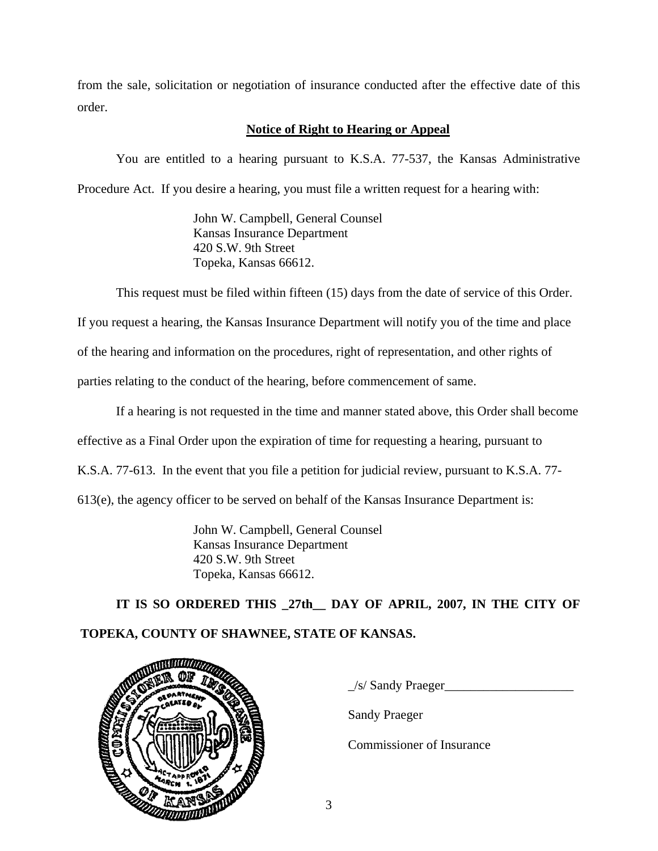from the sale, solicitation or negotiation of insurance conducted after the effective date of this order.

# **Notice of Right to Hearing or Appeal**

You are entitled to a hearing pursuant to K.S.A. 77-537, the Kansas Administrative Procedure Act. If you desire a hearing, you must file a written request for a hearing with:

> John W. Campbell, General Counsel Kansas Insurance Department 420 S.W. 9th Street Topeka, Kansas 66612.

This request must be filed within fifteen (15) days from the date of service of this Order.

If you request a hearing, the Kansas Insurance Department will notify you of the time and place

of the hearing and information on the procedures, right of representation, and other rights of

parties relating to the conduct of the hearing, before commencement of same.

If a hearing is not requested in the time and manner stated above, this Order shall become effective as a Final Order upon the expiration of time for requesting a hearing, pursuant to K.S.A. 77-613. In the event that you file a petition for judicial review, pursuant to K.S.A. 77- 613(e), the agency officer to be served on behalf of the Kansas Insurance Department is:

> John W. Campbell, General Counsel Kansas Insurance Department 420 S.W. 9th Street Topeka, Kansas 66612.

 **IT IS SO ORDERED THIS \_27th\_\_ DAY OF APRIL, 2007, IN THE CITY OF TOPEKA, COUNTY OF SHAWNEE, STATE OF KANSAS.** 



 $\frac{1}{s}$  Sandy Praeger

Sandy Praeger

Commissioner of Insurance